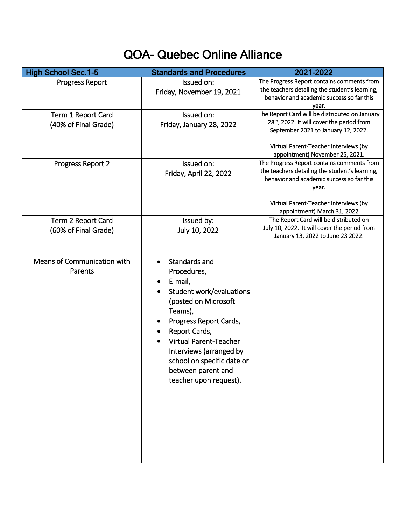## QOA- Quebec Online Alliance

| <b>High School Sec.1-5</b>                 | <b>Standards and Procedures</b>                                                                                                                                                                                                                                                                          | 2021-2022                                                                                                                                                                                                                   |
|--------------------------------------------|----------------------------------------------------------------------------------------------------------------------------------------------------------------------------------------------------------------------------------------------------------------------------------------------------------|-----------------------------------------------------------------------------------------------------------------------------------------------------------------------------------------------------------------------------|
| <b>Progress Report</b>                     | Issued on:<br>Friday, November 19, 2021                                                                                                                                                                                                                                                                  | The Progress Report contains comments from<br>the teachers detailing the student's learning,<br>behavior and academic success so far this<br>year.                                                                          |
| Term 1 Report Card<br>(40% of Final Grade) | Issued on:<br>Friday, January 28, 2022                                                                                                                                                                                                                                                                   | The Report Card will be distributed on January<br>28 <sup>th</sup> , 2022. It will cover the period from<br>September 2021 to January 12, 2022.<br>Virtual Parent-Teacher Interviews (by<br>appointment) November 25, 2021. |
| Progress Report 2                          | Issued on:<br>Friday, April 22, 2022                                                                                                                                                                                                                                                                     | The Progress Report contains comments from<br>the teachers detailing the student's learning,<br>behavior and academic success so far this<br>year.<br>Virtual Parent-Teacher Interviews (by                                 |
| Term 2 Report Card<br>(60% of Final Grade) | Issued by:<br>July 10, 2022                                                                                                                                                                                                                                                                              | appointment) March 31, 2022<br>The Report Card will be distributed on<br>July 10, 2022. It will cover the period from<br>January 13, 2022 to June 23 2022.                                                                  |
| Means of Communication with<br>Parents     | Standards and<br>$\bullet$<br>Procedures,<br>E-mail,<br>Student work/evaluations<br>(posted on Microsoft<br>Teams),<br>Progress Report Cards,<br>Report Cards,<br><b>Virtual Parent-Teacher</b><br>Interviews (arranged by<br>school on specific date or<br>between parent and<br>teacher upon request). |                                                                                                                                                                                                                             |